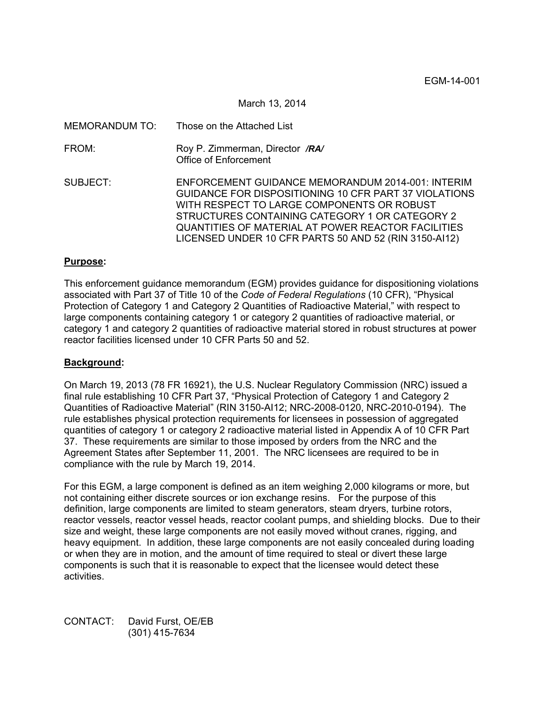March 13, 2014

| MEMORANDUM TO: | Those on the Attached List                                                                                                                                                                                                                                                                                                |
|----------------|---------------------------------------------------------------------------------------------------------------------------------------------------------------------------------------------------------------------------------------------------------------------------------------------------------------------------|
| FROM:          | Roy P. Zimmerman, Director /RA/<br>Office of Enforcement                                                                                                                                                                                                                                                                  |
| SUBJECT:       | ENFORCEMENT GUIDANCE MEMORANDUM 2014-001: INTERIM<br>GUIDANCE FOR DISPOSITIONING 10 CFR PART 37 VIOLATIONS<br>WITH RESPECT TO LARGE COMPONENTS OR ROBUST<br>STRUCTURES CONTAINING CATEGORY 1 OR CATEGORY 2<br>QUANTITIES OF MATERIAL AT POWER REACTOR FACILITIES<br>LICENSED UNDER 10 CFR PARTS 50 AND 52 (RIN 3150-AI12) |

# **Purpose:**

This enforcement guidance memorandum (EGM) provides guidance for dispositioning violations associated with Part 37 of Title 10 of the *Code of Federal Regulations* (10 CFR), "Physical Protection of Category 1 and Category 2 Quantities of Radioactive Material," with respect to large components containing category 1 or category 2 quantities of radioactive material, or category 1 and category 2 quantities of radioactive material stored in robust structures at power reactor facilities licensed under 10 CFR Parts 50 and 52.

### **Background:**

On March 19, 2013 (78 FR 16921), the U.S. Nuclear Regulatory Commission (NRC) issued a final rule establishing 10 CFR Part 37, "Physical Protection of Category 1 and Category 2 Quantities of Radioactive Material" (RIN 3150-AI12; NRC-2008-0120, NRC-2010-0194). The rule establishes physical protection requirements for licensees in possession of aggregated quantities of category 1 or category 2 radioactive material listed in Appendix A of 10 CFR Part 37. These requirements are similar to those imposed by orders from the NRC and the Agreement States after September 11, 2001. The NRC licensees are required to be in compliance with the rule by March 19, 2014.

For this EGM, a large component is defined as an item weighing 2,000 kilograms or more, but not containing either discrete sources or ion exchange resins. For the purpose of this definition, large components are limited to steam generators, steam dryers, turbine rotors, reactor vessels, reactor vessel heads, reactor coolant pumps, and shielding blocks. Due to their size and weight, these large components are not easily moved without cranes, rigging, and heavy equipment. In addition, these large components are not easily concealed during loading or when they are in motion, and the amount of time required to steal or divert these large components is such that it is reasonable to expect that the licensee would detect these activities.

CONTACT: David Furst, OE/EB (301) 415-7634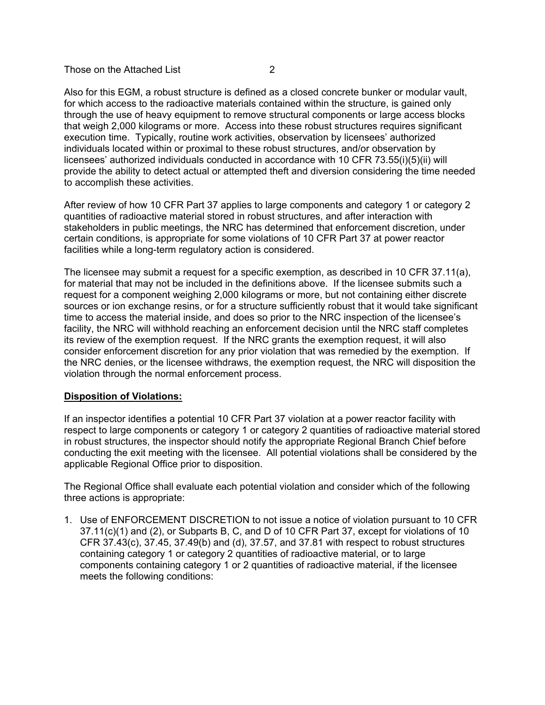# Those on the Attached List **2**

Also for this EGM, a robust structure is defined as a closed concrete bunker or modular vault, for which access to the radioactive materials contained within the structure, is gained only through the use of heavy equipment to remove structural components or large access blocks that weigh 2,000 kilograms or more. Access into these robust structures requires significant execution time. Typically, routine work activities, observation by licensees' authorized individuals located within or proximal to these robust structures, and/or observation by licensees' authorized individuals conducted in accordance with 10 CFR 73.55(i)(5)(ii) will provide the ability to detect actual or attempted theft and diversion considering the time needed to accomplish these activities.

After review of how 10 CFR Part 37 applies to large components and category 1 or category 2 quantities of radioactive material stored in robust structures, and after interaction with stakeholders in public meetings, the NRC has determined that enforcement discretion, under certain conditions, is appropriate for some violations of 10 CFR Part 37 at power reactor facilities while a long-term regulatory action is considered.

The licensee may submit a request for a specific exemption, as described in 10 CFR 37.11(a), for material that may not be included in the definitions above. If the licensee submits such a request for a component weighing 2,000 kilograms or more, but not containing either discrete sources or ion exchange resins, or for a structure sufficiently robust that it would take significant time to access the material inside, and does so prior to the NRC inspection of the licensee's facility, the NRC will withhold reaching an enforcement decision until the NRC staff completes its review of the exemption request. If the NRC grants the exemption request, it will also consider enforcement discretion for any prior violation that was remedied by the exemption. If the NRC denies, or the licensee withdraws, the exemption request, the NRC will disposition the violation through the normal enforcement process.

### **Disposition of Violations:**

If an inspector identifies a potential 10 CFR Part 37 violation at a power reactor facility with respect to large components or category 1 or category 2 quantities of radioactive material stored in robust structures, the inspector should notify the appropriate Regional Branch Chief before conducting the exit meeting with the licensee. All potential violations shall be considered by the applicable Regional Office prior to disposition.

The Regional Office shall evaluate each potential violation and consider which of the following three actions is appropriate:

1. Use of ENFORCEMENT DISCRETION to not issue a notice of violation pursuant to 10 CFR 37.11(c)(1) and (2), or Subparts B, C, and D of 10 CFR Part 37, except for violations of 10 CFR 37.43(c), 37.45, 37.49(b) and (d), 37.57, and 37.81 with respect to robust structures containing category 1 or category 2 quantities of radioactive material, or to large components containing category 1 or 2 quantities of radioactive material, if the licensee meets the following conditions: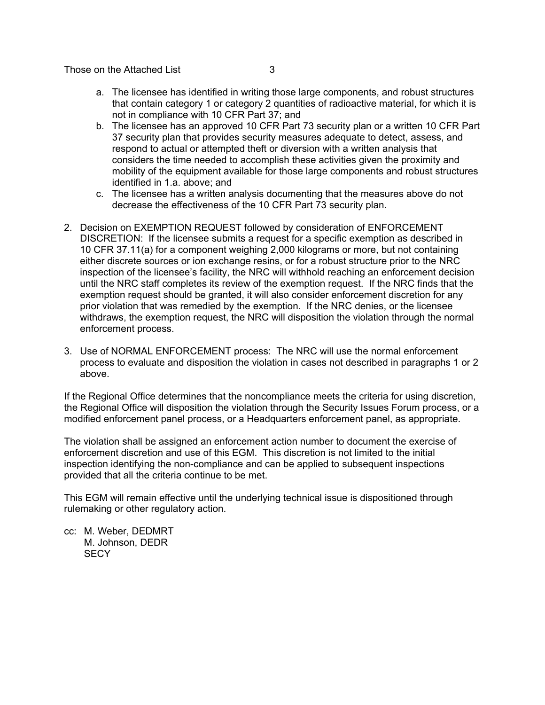Those on the Attached List 3

- a. The licensee has identified in writing those large components, and robust structures that contain category 1 or category 2 quantities of radioactive material, for which it is not in compliance with 10 CFR Part 37; and
- b. The licensee has an approved 10 CFR Part 73 security plan or a written 10 CFR Part 37 security plan that provides security measures adequate to detect, assess, and respond to actual or attempted theft or diversion with a written analysis that considers the time needed to accomplish these activities given the proximity and mobility of the equipment available for those large components and robust structures identified in 1.a. above; and
- c. The licensee has a written analysis documenting that the measures above do not decrease the effectiveness of the 10 CFR Part 73 security plan.
- 2. Decision on EXEMPTION REQUEST followed by consideration of ENFORCEMENT DISCRETION: If the licensee submits a request for a specific exemption as described in 10 CFR 37.11(a) for a component weighing 2,000 kilograms or more, but not containing either discrete sources or ion exchange resins, or for a robust structure prior to the NRC inspection of the licensee's facility, the NRC will withhold reaching an enforcement decision until the NRC staff completes its review of the exemption request. If the NRC finds that the exemption request should be granted, it will also consider enforcement discretion for any prior violation that was remedied by the exemption. If the NRC denies, or the licensee withdraws, the exemption request, the NRC will disposition the violation through the normal enforcement process.
- 3. Use of NORMAL ENFORCEMENT process: The NRC will use the normal enforcement process to evaluate and disposition the violation in cases not described in paragraphs 1 or 2 above.

If the Regional Office determines that the noncompliance meets the criteria for using discretion, the Regional Office will disposition the violation through the Security Issues Forum process, or a modified enforcement panel process, or a Headquarters enforcement panel, as appropriate.

The violation shall be assigned an enforcement action number to document the exercise of enforcement discretion and use of this EGM. This discretion is not limited to the initial inspection identifying the non-compliance and can be applied to subsequent inspections provided that all the criteria continue to be met.

This EGM will remain effective until the underlying technical issue is dispositioned through rulemaking or other regulatory action.

cc: M. Weber, DEDMRT M. Johnson, DEDR **SECY**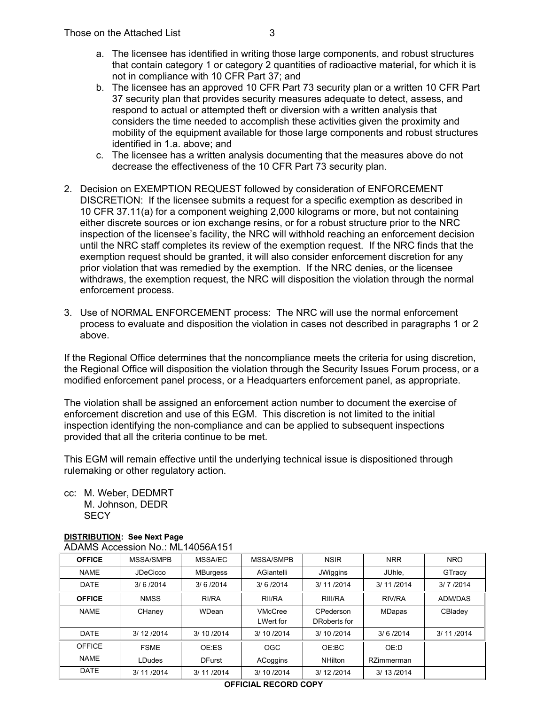- a. The licensee has identified in writing those large components, and robust structures that contain category 1 or category 2 quantities of radioactive material, for which it is not in compliance with 10 CFR Part 37; and
- b. The licensee has an approved 10 CFR Part 73 security plan or a written 10 CFR Part 37 security plan that provides security measures adequate to detect, assess, and respond to actual or attempted theft or diversion with a written analysis that considers the time needed to accomplish these activities given the proximity and mobility of the equipment available for those large components and robust structures identified in 1.a. above; and
- c. The licensee has a written analysis documenting that the measures above do not decrease the effectiveness of the 10 CFR Part 73 security plan.
- 2. Decision on EXEMPTION REQUEST followed by consideration of ENFORCEMENT DISCRETION: If the licensee submits a request for a specific exemption as described in 10 CFR 37.11(a) for a component weighing 2,000 kilograms or more, but not containing either discrete sources or ion exchange resins, or for a robust structure prior to the NRC inspection of the licensee's facility, the NRC will withhold reaching an enforcement decision until the NRC staff completes its review of the exemption request. If the NRC finds that the exemption request should be granted, it will also consider enforcement discretion for any prior violation that was remedied by the exemption. If the NRC denies, or the licensee withdraws, the exemption request, the NRC will disposition the violation through the normal enforcement process.
- 3. Use of NORMAL ENFORCEMENT process: The NRC will use the normal enforcement process to evaluate and disposition the violation in cases not described in paragraphs 1 or 2 above.

If the Regional Office determines that the noncompliance meets the criteria for using discretion, the Regional Office will disposition the violation through the Security Issues Forum process, or a modified enforcement panel process, or a Headquarters enforcement panel, as appropriate.

The violation shall be assigned an enforcement action number to document the exercise of enforcement discretion and use of this EGM. This discretion is not limited to the initial inspection identifying the non-compliance and can be applied to subsequent inspections provided that all the criteria continue to be met.

This EGM will remain effective until the underlying technical issue is dispositioned through rulemaking or other regulatory action.

cc: M. Weber, DEDMRT M. Johnson, DEDR **SECY** 

# **DISTRIBUTION: See Next Page**  ADAMS Accession No.: ML14056A151

| <b>OFFICE</b> | MSSA/SMPB       | MSSA/EC       | MSSA/SMPB                          | <b>NSIR</b>               | <b>NRR</b>    | <b>NRO</b> |
|---------------|-----------------|---------------|------------------------------------|---------------------------|---------------|------------|
| <b>NAME</b>   | <b>JDeCicco</b> | MBurgess      | AGiantelli                         | JWiggins                  | JUhle.        | GTracy     |
| <b>DATE</b>   | 3/6/2014        | 3/6/2014      | 3/6/2014                           | 3/ 11/2014                | 3/ 11/2014    | 3/7/2014   |
| <b>OFFICE</b> | <b>NMSS</b>     | RI/RA         | RII/RA                             | RIII/RA                   | RIV/RA        | ADM/DAS    |
| <b>NAME</b>   | CHaney          | WDean         | <b>VMcCree</b><br><b>LWert for</b> | CPederson<br>DRoberts for | <b>MDapas</b> | CBladey    |
| <b>DATE</b>   | 3/12/2014       | 3/ 10 / 2014  | 3/10/2014                          | 3/10/2014                 | 3/6/2014      | 3/ 11/2014 |
| <b>OFFICE</b> | <b>FSME</b>     | OE:ES         | OGC                                | OE:BC                     | OE:D          |            |
| <b>NAME</b>   | <b>LDudes</b>   | <b>DFurst</b> | ACoggins                           | <b>NHilton</b>            | RZimmerman    |            |
| <b>DATE</b>   | 3/ 11/2014      | 3/ 11/2014    | 3/10/2014                          | 3/12/2014                 | 3/ 13/2014    |            |